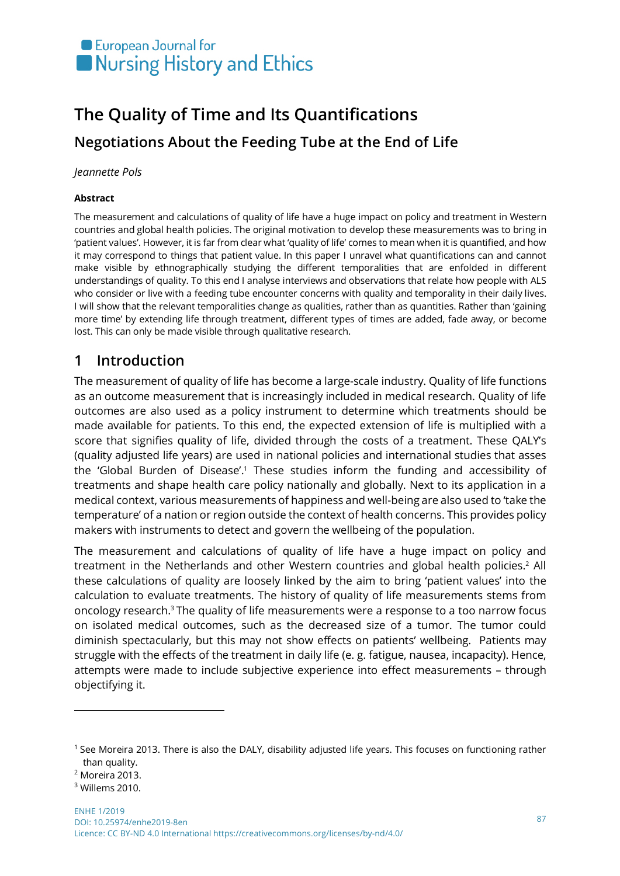# European Journal for Nursing History and Ethics

# **The Quality of Time and Its Quantifications Negotiations About the Feeding Tube at the End of Life**

#### *Jeannette Pols*

#### **Abstract**

The measurement and calculations of quality of life have a huge impact on policy and treatment in Western countries and global health policies. The original motivation to develop these measurements was to bring in 'patient values'. However, it is far from clear what 'quality of life' comes to mean when it is quantified, and how it may correspond to things that patient value. In this paper I unravel what quantifications can and cannot make visible by ethnographically studying the different temporalities that are enfolded in different understandings of quality. To this end I analyse interviews and observations that relate how people with ALS who consider or live with a feeding tube encounter concerns with quality and temporality in their daily lives. I will show that the relevant temporalities change as qualities, rather than as quantities. Rather than 'gaining more time' by extending life through treatment, different types of times are added, fade away, or become lost. This can only be made visible through qualitative research.

#### **1 Introduction**

The measurement of quality of life has become a large-scale industry. Quality of life functions as an outcome measurement that is increasingly included in medical research. Quality of life outcomes are also used as a policy instrument to determine which treatments should be made available for patients. To this end, the expected extension of life is multiplied with a score that signifies quality of life, divided through the costs of a treatment. These QALY's (quality adjusted life years) are used in national policies and international studies that asses the 'Global Burden of Disease'.<sup>1</sup> These studies inform the funding and accessibility of treatments and shape health care policy nationally and globally. Next to its application in a medical context, various measurements of happiness and well-being are also used to 'take the temperature' of a nation or region outside the context of health concerns. This provides policy makers with instruments to detect and govern the wellbeing of the population.

The measurement and calculations of quality of life have a huge impact on policy and treatment in the Netherlands and other Western countries and global health policies.<sup>2</sup> All these calculations of quality are loosely linked by the aim to bring 'patient values' into the calculation to evaluate treatments. The history of quality of life measurements stems from oncology research.3 The quality of life measurements were a response to a too narrow focus on isolated medical outcomes, such as the decreased size of a tumor. The tumor could diminish spectacularly, but this may not show effects on patients' wellbeing. Patients may struggle with the effects of the treatment in daily life (e. g. fatigue, nausea, incapacity). Hence, attempts were made to include subjective experience into effect measurements – through objectifying it.

<sup>1</sup> See Moreira 2013. There is also the DALY, disability adjusted life years. This focuses on functioning rather than quality.

<sup>2</sup> Moreira 2013.

<sup>3</sup> Willems 2010.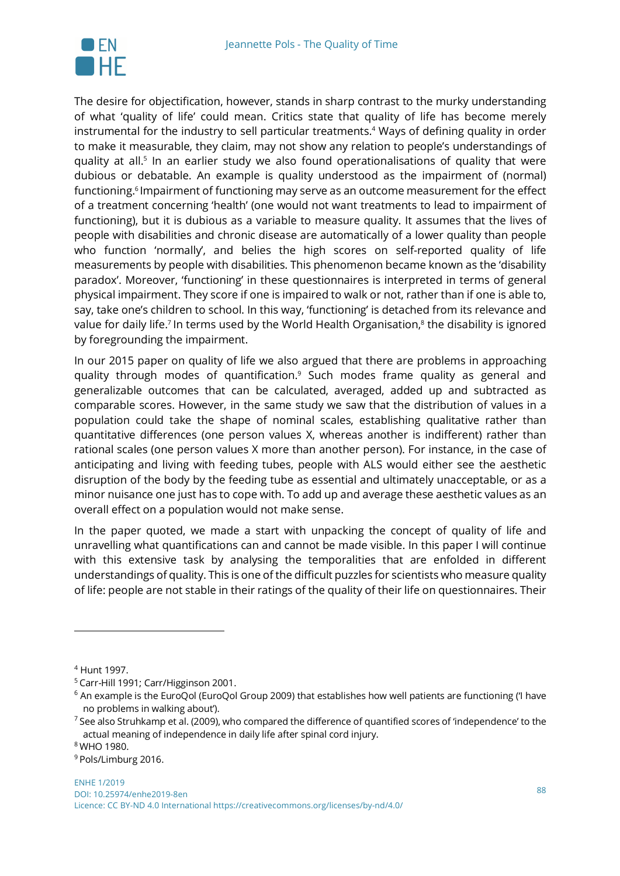

The desire for objectification, however, stands in sharp contrast to the murky understanding of what 'quality of life' could mean. Critics state that quality of life has become merely instrumental for the industry to sell particular treatments.<sup>4</sup> Ways of defining quality in order to make it measurable, they claim, may not show any relation to people's understandings of quality at all.<sup>5</sup> In an earlier study we also found operationalisations of quality that were dubious or debatable. An example is quality understood as the impairment of (normal) functioning.<sup>6</sup> Impairment of functioning may serve as an outcome measurement for the effect of a treatment concerning 'health' (one would not want treatments to lead to impairment of functioning), but it is dubious as a variable to measure quality. It assumes that the lives of people with disabilities and chronic disease are automatically of a lower quality than people who function 'normally', and belies the high scores on self-reported quality of life measurements by people with disabilities. This phenomenon became known as the 'disability paradox'. Moreover, 'functioning' in these questionnaires is interpreted in terms of general physical impairment. They score if one is impaired to walk or not, rather than if one is able to, say, take one's children to school. In this way, 'functioning' is detached from its relevance and value for daily life.<sup>7</sup> In terms used by the World Health Organisation,<sup>8</sup> the disability is ignored by foregrounding the impairment.

In our 2015 paper on quality of life we also argued that there are problems in approaching quality through modes of quantification.<sup>9</sup> Such modes frame quality as general and generalizable outcomes that can be calculated, averaged, added up and subtracted as comparable scores. However, in the same study we saw that the distribution of values in a population could take the shape of nominal scales, establishing qualitative rather than quantitative differences (one person values X, whereas another is indifferent) rather than rational scales (one person values X more than another person). For instance, in the case of anticipating and living with feeding tubes, people with ALS would either see the aesthetic disruption of the body by the feeding tube as essential and ultimately unacceptable, or as a minor nuisance one just has to cope with. To add up and average these aesthetic values as an overall effect on a population would not make sense.

In the paper quoted, we made a start with unpacking the concept of quality of life and unravelling what quantifications can and cannot be made visible. In this paper I will continue with this extensive task by analysing the temporalities that are enfolded in different understandings of quality. This is one of the difficult puzzles for scientists who measure quality of life: people are not stable in their ratings of the quality of their life on questionnaires. Their

 $\overline{a}$ 

<sup>8</sup> WHO 1980.

<sup>4</sup> Hunt 1997.

<sup>5</sup> Carr-Hill 1991; Carr/Higginson 2001.

 $6$  An example is the EuroQol (EuroQol Group 2009) that establishes how well patients are functioning ('I have no problems in walking about').

 $7$  See also Struhkamp et al. (2009), who compared the difference of quantified scores of 'independence' to the actual meaning of independence in daily life after spinal cord injury.

<sup>9</sup> Pols/Limburg 2016.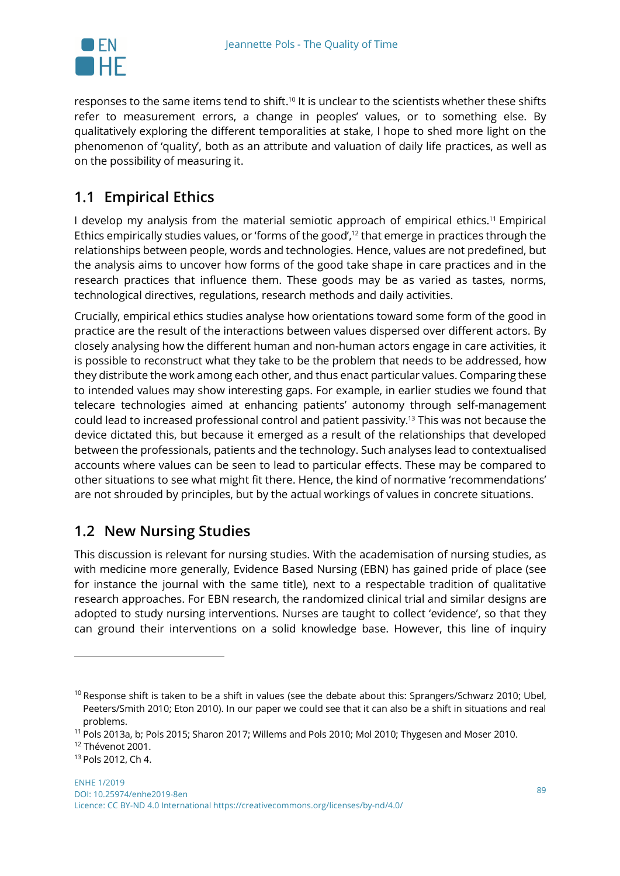

responses to the same items tend to shift.10 It is unclear to the scientists whether these shifts refer to measurement errors, a change in peoples' values, or to something else. By qualitatively exploring the different temporalities at stake, I hope to shed more light on the phenomenon of 'quality', both as an attribute and valuation of daily life practices, as well as on the possibility of measuring it.

## **1.1 Empirical Ethics**

I develop my analysis from the material semiotic approach of empirical ethics.<sup>11</sup> Empirical Ethics empirically studies values, or 'forms of the good', $12$  that emerge in practices through the relationships between people, words and technologies. Hence, values are not predefined, but the analysis aims to uncover how forms of the good take shape in care practices and in the research practices that influence them. These goods may be as varied as tastes, norms, technological directives, regulations, research methods and daily activities.

Crucially, empirical ethics studies analyse how orientations toward some form of the good in practice are the result of the interactions between values dispersed over different actors. By closely analysing how the different human and non-human actors engage in care activities, it is possible to reconstruct what they take to be the problem that needs to be addressed, how they distribute the work among each other, and thus enact particular values. Comparing these to intended values may show interesting gaps. For example, in earlier studies we found that telecare technologies aimed at enhancing patients' autonomy through self-management could lead to increased professional control and patient passivity.13 This was not because the device dictated this, but because it emerged as a result of the relationships that developed between the professionals, patients and the technology. Such analyses lead to contextualised accounts where values can be seen to lead to particular effects. These may be compared to other situations to see what might fit there. Hence, the kind of normative 'recommendations' are not shrouded by principles, but by the actual workings of values in concrete situations.

#### **1.2 New Nursing Studies**

This discussion is relevant for nursing studies. With the academisation of nursing studies, as with medicine more generally, Evidence Based Nursing (EBN) has gained pride of place (see for instance the journal with the same title), next to a respectable tradition of qualitative research approaches. For EBN research, the randomized clinical trial and similar designs are adopted to study nursing interventions. Nurses are taught to collect 'evidence', so that they can ground their interventions on a solid knowledge base. However, this line of inquiry

 $10$  Response shift is taken to be a shift in values (see the debate about this: Sprangers/Schwarz 2010; Ubel, Peeters/Smith 2010; Eton 2010). In our paper we could see that it can also be a shift in situations and real problems.

<sup>11</sup> Pols 2013a, b; Pols 2015; Sharon 2017; Willems and Pols 2010; Mol 2010; Thygesen and Moser 2010.

<sup>&</sup>lt;sup>12</sup> Thévenot 2001.

<sup>13</sup> Pols 2012, Ch 4.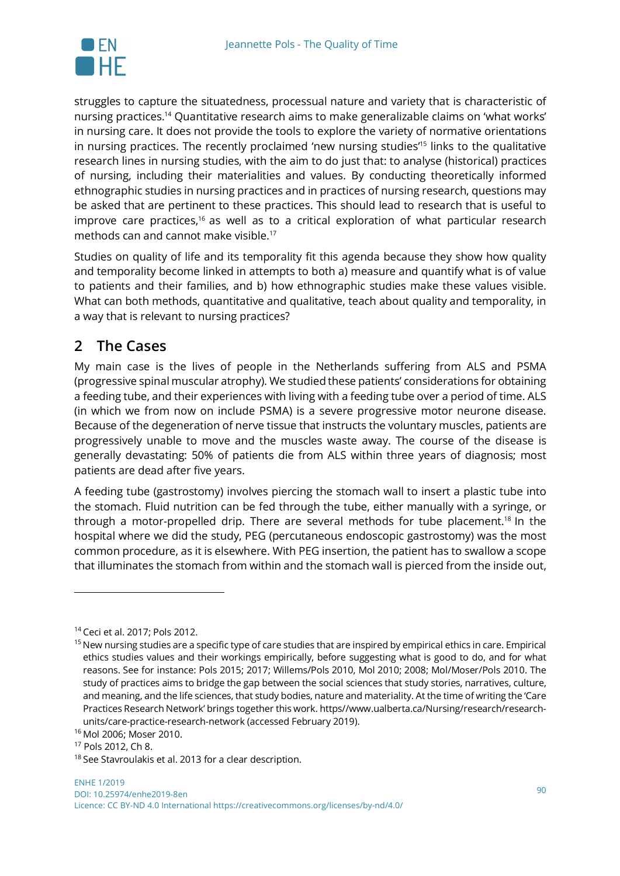

struggles to capture the situatedness, processual nature and variety that is characteristic of nursing practices.14 Quantitative research aims to make generalizable claims on 'what works' in nursing care. It does not provide the tools to explore the variety of normative orientations in nursing practices. The recently proclaimed 'new nursing studies<sup>"15</sup> links to the qualitative research lines in nursing studies, with the aim to do just that: to analyse (historical) practices of nursing, including their materialities and values. By conducting theoretically informed ethnographic studies in nursing practices and in practices of nursing research, questions may be asked that are pertinent to these practices. This should lead to research that is useful to improve care practices, $16$  as well as to a critical exploration of what particular research methods can and cannot make visible.17

Studies on quality of life and its temporality fit this agenda because they show how quality and temporality become linked in attempts to both a) measure and quantify what is of value to patients and their families, and b) how ethnographic studies make these values visible. What can both methods, quantitative and qualitative, teach about quality and temporality, in a way that is relevant to nursing practices?

#### **2 The Cases**

My main case is the lives of people in the Netherlands suffering from ALS and PSMA (progressive spinal muscular atrophy). We studied these patients' considerations for obtaining a feeding tube, and their experiences with living with a feeding tube over a period of time. ALS (in which we from now on include PSMA) is a severe progressive motor neurone disease. Because of the degeneration of nerve tissue that instructs the voluntary muscles, patients are progressively unable to move and the muscles waste away. The course of the disease is generally devastating: 50% of patients die from ALS within three years of diagnosis; most patients are dead after five years.

A feeding tube (gastrostomy) involves piercing the stomach wall to insert a plastic tube into the stomach. Fluid nutrition can be fed through the tube, either manually with a syringe, or through a motor-propelled drip. There are several methods for tube placement.<sup>18</sup> In the hospital where we did the study, PEG (percutaneous endoscopic gastrostomy) was the most common procedure, as it is elsewhere. With PEG insertion, the patient has to swallow a scope that illuminates the stomach from within and the stomach wall is pierced from the inside out,

<sup>14</sup> Ceci et al. 2017; Pols 2012.

<sup>&</sup>lt;sup>15</sup> New nursing studies are a specific type of care studies that are inspired by empirical ethics in care. Empirical ethics studies values and their workings empirically, before suggesting what is good to do, and for what reasons. See for instance: Pols 2015; 2017; Willems/Pols 2010, Mol 2010; 2008; Mol/Moser/Pols 2010. The study of practices aims to bridge the gap between the social sciences that study stories, narratives, culture, and meaning, and the life sciences, that study bodies, nature and materiality. At the time of writing the 'Care Practices Research Network' brings together this work. https//www.ualberta.ca/Nursing/research/researchunits/care-practice-research-network (accessed February 2019).

<sup>16</sup> Mol 2006; Moser 2010.

<sup>17</sup> Pols 2012, Ch 8.

<sup>&</sup>lt;sup>18</sup> See Stavroulakis et al. 2013 for a clear description.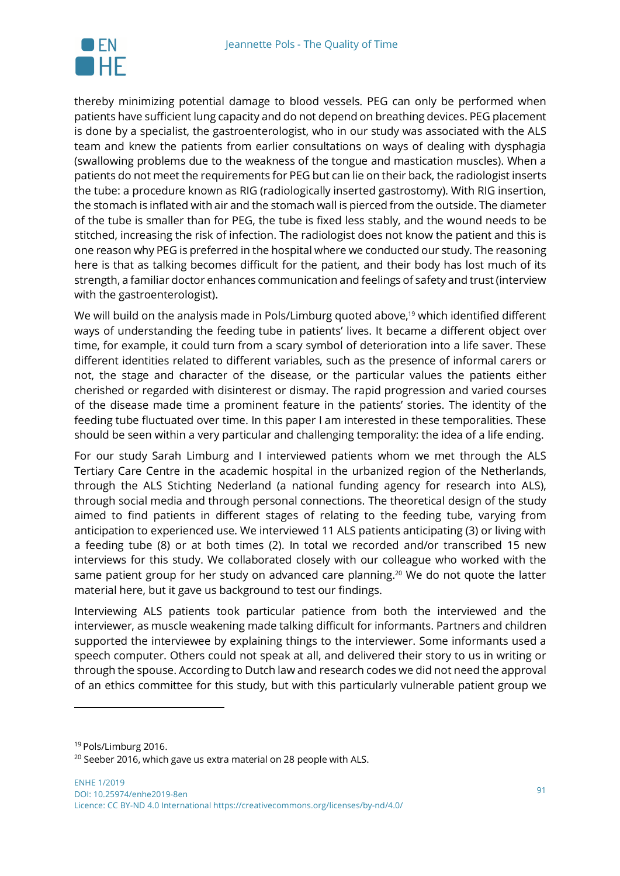

thereby minimizing potential damage to blood vessels. PEG can only be performed when patients have sufficient lung capacity and do not depend on breathing devices. PEG placement is done by a specialist, the gastroenterologist, who in our study was associated with the ALS team and knew the patients from earlier consultations on ways of dealing with dysphagia (swallowing problems due to the weakness of the tongue and mastication muscles). When a patients do not meet the requirements for PEG but can lie on their back, the radiologist inserts the tube: a procedure known as RIG (radiologically inserted gastrostomy). With RIG insertion, the stomach is inflated with air and the stomach wall is pierced from the outside. The diameter of the tube is smaller than for PEG, the tube is fixed less stably, and the wound needs to be stitched, increasing the risk of infection. The radiologist does not know the patient and this is one reason why PEG is preferred in the hospital where we conducted our study. The reasoning here is that as talking becomes difficult for the patient, and their body has lost much of its strength, a familiar doctor enhances communication and feelings of safety and trust (interview with the gastroenterologist).

We will build on the analysis made in Pols/Limburg quoted above,<sup>19</sup> which identified different ways of understanding the feeding tube in patients' lives. It became a different object over time, for example, it could turn from a scary symbol of deterioration into a life saver. These different identities related to different variables, such as the presence of informal carers or not, the stage and character of the disease, or the particular values the patients either cherished or regarded with disinterest or dismay. The rapid progression and varied courses of the disease made time a prominent feature in the patients' stories. The identity of the feeding tube fluctuated over time. In this paper I am interested in these temporalities. These should be seen within a very particular and challenging temporality: the idea of a life ending.

For our study Sarah Limburg and I interviewed patients whom we met through the ALS Tertiary Care Centre in the academic hospital in the urbanized region of the Netherlands, through the ALS Stichting Nederland (a national funding agency for research into ALS), through social media and through personal connections. The theoretical design of the study aimed to find patients in different stages of relating to the feeding tube, varying from anticipation to experienced use. We interviewed 11 ALS patients anticipating (3) or living with a feeding tube (8) or at both times (2). In total we recorded and/or transcribed 15 new interviews for this study. We collaborated closely with our colleague who worked with the same patient group for her study on advanced care planning.20 We do not quote the latter material here, but it gave us background to test our findings.

Interviewing ALS patients took particular patience from both the interviewed and the interviewer, as muscle weakening made talking difficult for informants. Partners and children supported the interviewee by explaining things to the interviewer. Some informants used a speech computer. Others could not speak at all, and delivered their story to us in writing or through the spouse. According to Dutch law and research codes we did not need the approval of an ethics committee for this study, but with this particularly vulnerable patient group we

<sup>19</sup> Pols/Limburg 2016.

 $20$  Seeber 2016, which gave us extra material on 28 people with ALS.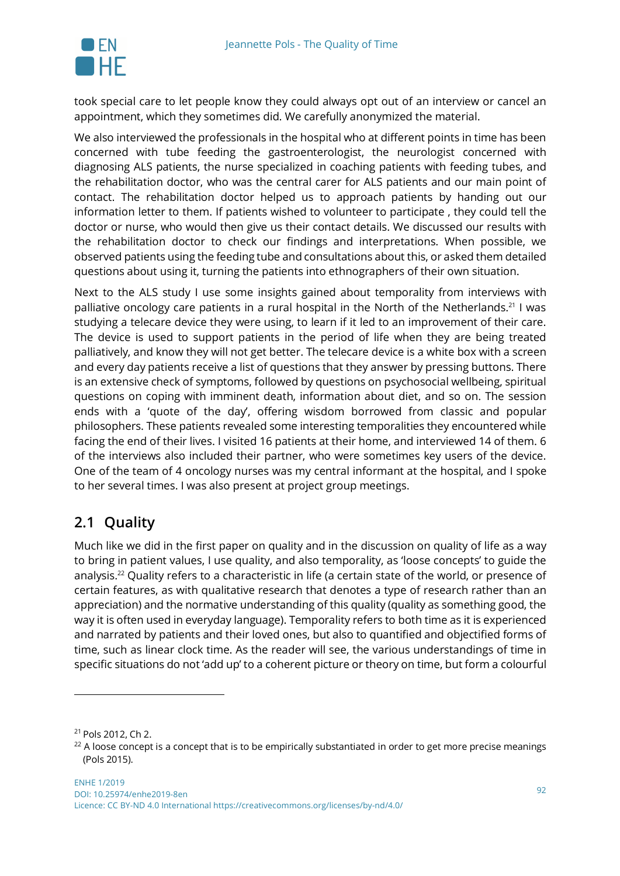

took special care to let people know they could always opt out of an interview or cancel an appointment, which they sometimes did. We carefully anonymized the material.

We also interviewed the professionals in the hospital who at different points in time has been concerned with tube feeding the gastroenterologist, the neurologist concerned with diagnosing ALS patients, the nurse specialized in coaching patients with feeding tubes, and the rehabilitation doctor, who was the central carer for ALS patients and our main point of contact. The rehabilitation doctor helped us to approach patients by handing out our information letter to them. If patients wished to volunteer to participate , they could tell the doctor or nurse, who would then give us their contact details. We discussed our results with the rehabilitation doctor to check our findings and interpretations. When possible, we observed patients using the feeding tube and consultations about this, or asked them detailed questions about using it, turning the patients into ethnographers of their own situation.

Next to the ALS study I use some insights gained about temporality from interviews with palliative oncology care patients in a rural hospital in the North of the Netherlands.<sup>21</sup> I was studying a telecare device they were using, to learn if it led to an improvement of their care. The device is used to support patients in the period of life when they are being treated palliatively, and know they will not get better. The telecare device is a white box with a screen and every day patients receive a list of questions that they answer by pressing buttons. There is an extensive check of symptoms, followed by questions on psychosocial wellbeing, spiritual questions on coping with imminent death, information about diet, and so on. The session ends with a 'quote of the day', offering wisdom borrowed from classic and popular philosophers. These patients revealed some interesting temporalities they encountered while facing the end of their lives. I visited 16 patients at their home, and interviewed 14 of them. 6 of the interviews also included their partner, who were sometimes key users of the device. One of the team of 4 oncology nurses was my central informant at the hospital, and I spoke to her several times. I was also present at project group meetings.

#### **2.1 Quality**

Much like we did in the first paper on quality and in the discussion on quality of life as a way to bring in patient values, I use quality, and also temporality, as 'loose concepts' to guide the analysis.22 Quality refers to a characteristic in life (a certain state of the world, or presence of certain features, as with qualitative research that denotes a type of research rather than an appreciation) and the normative understanding of this quality (quality as something good, the way it is often used in everyday language). Temporality refers to both time as it is experienced and narrated by patients and their loved ones, but also to quantified and objectified forms of time, such as linear clock time. As the reader will see, the various understandings of time in specific situations do not 'add up' to a coherent picture or theory on time, but form a colourful

l

<sup>21</sup> Pols 2012, Ch 2.

 $22$  A loose concept is a concept that is to be empirically substantiated in order to get more precise meanings (Pols 2015).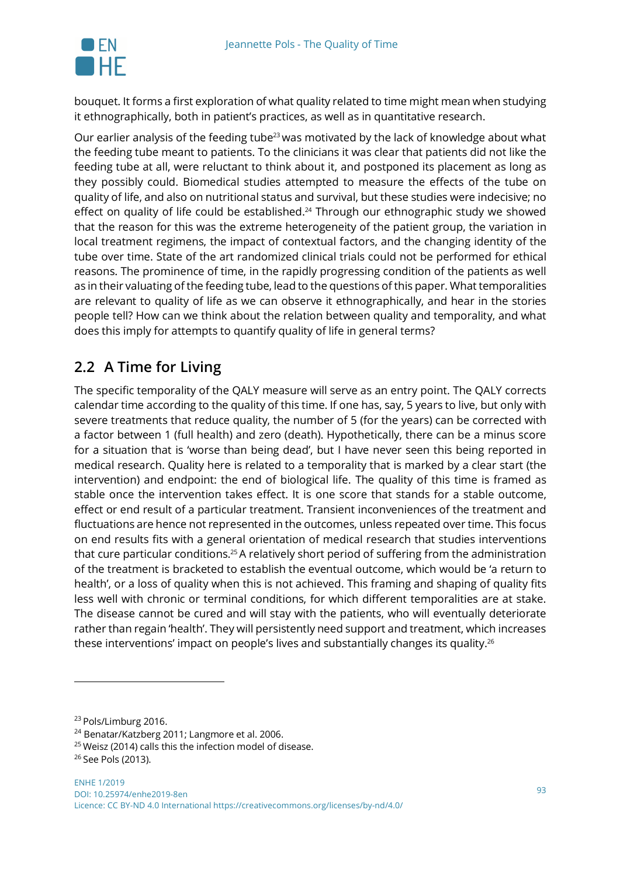

bouquet. It forms a first exploration of what quality related to time might mean when studying it ethnographically, both in patient's practices, as well as in quantitative research.

Our earlier analysis of the feeding tube<sup>23</sup> was motivated by the lack of knowledge about what the feeding tube meant to patients. To the clinicians it was clear that patients did not like the feeding tube at all, were reluctant to think about it, and postponed its placement as long as they possibly could. Biomedical studies attempted to measure the effects of the tube on quality of life, and also on nutritional status and survival, but these studies were indecisive; no effect on quality of life could be established. <sup>24</sup> Through our ethnographic study we showed that the reason for this was the extreme heterogeneity of the patient group, the variation in local treatment regimens, the impact of contextual factors, and the changing identity of the tube over time. State of the art randomized clinical trials could not be performed for ethical reasons. The prominence of time, in the rapidly progressing condition of the patients as well as in their valuating of the feeding tube, lead to the questions of this paper. What temporalities are relevant to quality of life as we can observe it ethnographically, and hear in the stories people tell? How can we think about the relation between quality and temporality, and what does this imply for attempts to quantify quality of life in general terms?

### **2.2 A Time for Living**

The specific temporality of the QALY measure will serve as an entry point. The QALY corrects calendar time according to the quality of this time. If one has, say, 5 years to live, but only with severe treatments that reduce quality, the number of 5 (for the years) can be corrected with a factor between 1 (full health) and zero (death). Hypothetically, there can be a minus score for a situation that is 'worse than being dead', but I have never seen this being reported in medical research. Quality here is related to a temporality that is marked by a clear start (the intervention) and endpoint: the end of biological life. The quality of this time is framed as stable once the intervention takes effect. It is one score that stands for a stable outcome, effect or end result of a particular treatment. Transient inconveniences of the treatment and fluctuations are hence not represented in the outcomes, unless repeated over time. This focus on end results fits with a general orientation of medical research that studies interventions that cure particular conditions.25A relatively short period of suffering from the administration of the treatment is bracketed to establish the eventual outcome, which would be 'a return to health', or a loss of quality when this is not achieved. This framing and shaping of quality fits less well with chronic or terminal conditions, for which different temporalities are at stake. The disease cannot be cured and will stay with the patients, who will eventually deteriorate rather than regain 'health'. They will persistently need support and treatment, which increases these interventions' impact on people's lives and substantially changes its quality.26

<sup>&</sup>lt;sup>23</sup> Pols/Limburg 2016.

<sup>24</sup> Benatar/Katzberg 2011; Langmore et al. 2006.

 $25$  Weisz (2014) calls this the infection model of disease.

<sup>&</sup>lt;sup>26</sup> See Pols (2013).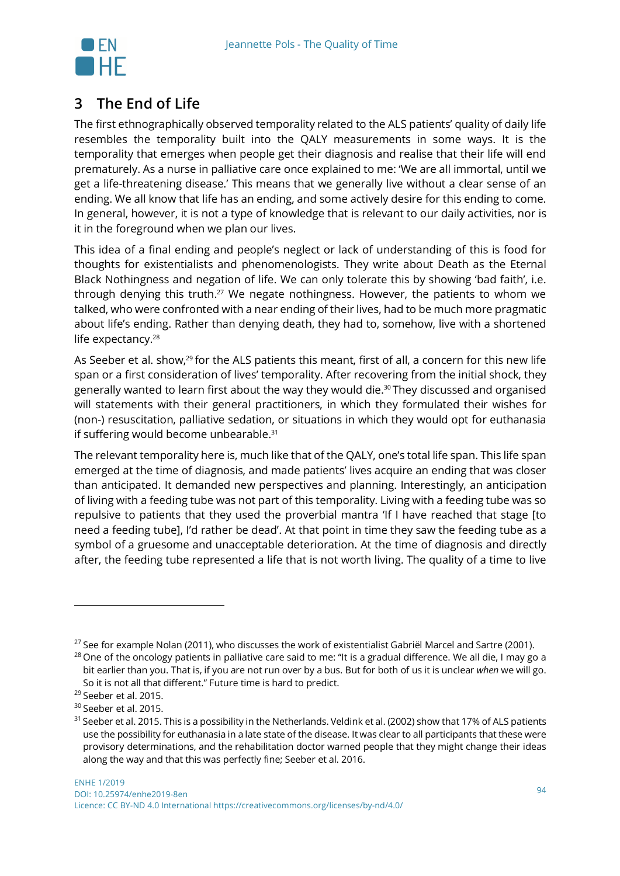

#### **3 The End of Life**

The first ethnographically observed temporality related to the ALS patients' quality of daily life resembles the temporality built into the QALY measurements in some ways. It is the temporality that emerges when people get their diagnosis and realise that their life will end prematurely. As a nurse in palliative care once explained to me: 'We are all immortal, until we get a life-threatening disease.' This means that we generally live without a clear sense of an ending. We all know that life has an ending, and some actively desire for this ending to come. In general, however, it is not a type of knowledge that is relevant to our daily activities, nor is it in the foreground when we plan our lives.

This idea of a final ending and people's neglect or lack of understanding of this is food for thoughts for existentialists and phenomenologists. They write about Death as the Eternal Black Nothingness and negation of life. We can only tolerate this by showing 'bad faith', i.e. through denying this truth.<sup>27</sup> We negate nothingness. However, the patients to whom we talked, who were confronted with a near ending of their lives, had to be much more pragmatic about life's ending. Rather than denying death, they had to, somehow, live with a shortened life expectancy.<sup>28</sup>

As Seeber et al. show,<sup>29</sup> for the ALS patients this meant, first of all, a concern for this new life span or a first consideration of lives' temporality. After recovering from the initial shock, they generally wanted to learn first about the way they would die.<sup>30</sup> They discussed and organised will statements with their general practitioners, in which they formulated their wishes for (non-) resuscitation, palliative sedation, or situations in which they would opt for euthanasia if suffering would become unbearable.<sup>31</sup>

The relevant temporality here is, much like that of the QALY, one's total life span. This life span emerged at the time of diagnosis, and made patients' lives acquire an ending that was closer than anticipated. It demanded new perspectives and planning. Interestingly, an anticipation of living with a feeding tube was not part of this temporality. Living with a feeding tube was so repulsive to patients that they used the proverbial mantra 'If I have reached that stage [to need a feeding tube], I'd rather be dead'. At that point in time they saw the feeding tube as a symbol of a gruesome and unacceptable deterioration. At the time of diagnosis and directly after, the feeding tube represented a life that is not worth living. The quality of a time to live

<sup>&</sup>lt;sup>27</sup> See for example Nolan (2011), who discusses the work of existentialist Gabriël Marcel and Sartre (2001).

 $^{28}$  One of the oncology patients in palliative care said to me: "It is a gradual difference. We all die, I may go a bit earlier than you. That is, if you are not run over by a bus. But for both of us it is unclear *when* we will go. So it is not all that different." Future time is hard to predict.

<sup>&</sup>lt;sup>29</sup> Seeber et al. 2015.

<sup>&</sup>lt;sup>30</sup> Seeber et al. 2015.

 $31$  Seeber et al. 2015. This is a possibility in the Netherlands. Veldink et al. (2002) show that 17% of ALS patients use the possibility for euthanasia in a late state of the disease. It was clear to all participants that these were provisory determinations, and the rehabilitation doctor warned people that they might change their ideas along the way and that this was perfectly fine; Seeber et al. 2016.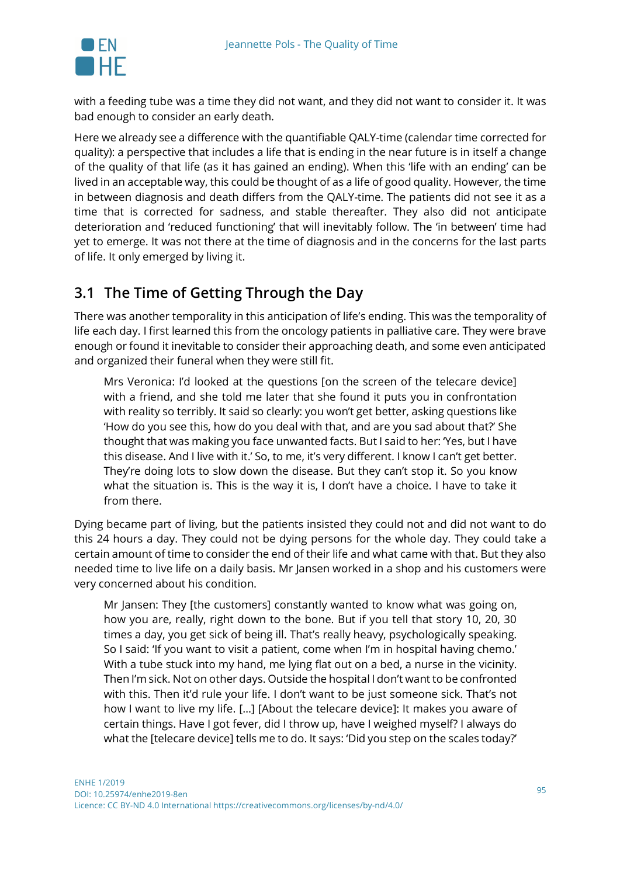

with a feeding tube was a time they did not want, and they did not want to consider it. It was bad enough to consider an early death.

Here we already see a difference with the quantifiable QALY-time (calendar time corrected for quality): a perspective that includes a life that is ending in the near future is in itself a change of the quality of that life (as it has gained an ending). When this 'life with an ending' can be lived in an acceptable way, this could be thought of as a life of good quality. However, the time in between diagnosis and death differs from the QALY-time. The patients did not see it as a time that is corrected for sadness, and stable thereafter. They also did not anticipate deterioration and 'reduced functioning' that will inevitably follow. The 'in between' time had yet to emerge. It was not there at the time of diagnosis and in the concerns for the last parts of life. It only emerged by living it.

#### **3.1 The Time of Getting Through the Day**

There was another temporality in this anticipation of life's ending. This was the temporality of life each day. I first learned this from the oncology patients in palliative care. They were brave enough or found it inevitable to consider their approaching death, and some even anticipated and organized their funeral when they were still fit.

Mrs Veronica: I'd looked at the questions [on the screen of the telecare device] with a friend, and she told me later that she found it puts you in confrontation with reality so terribly. It said so clearly: you won't get better, asking questions like 'How do you see this, how do you deal with that, and are you sad about that?' She thought that was making you face unwanted facts. But I said to her: 'Yes, but I have this disease. And I live with it.' So, to me, it's very different. I know I can't get better. They're doing lots to slow down the disease. But they can't stop it. So you know what the situation is. This is the way it is, I don't have a choice. I have to take it from there.

Dying became part of living, but the patients insisted they could not and did not want to do this 24 hours a day. They could not be dying persons for the whole day. They could take a certain amount of time to consider the end of their life and what came with that. But they also needed time to live life on a daily basis. Mr Jansen worked in a shop and his customers were very concerned about his condition.

Mr Jansen: They [the customers] constantly wanted to know what was going on, how you are, really, right down to the bone. But if you tell that story 10, 20, 30 times a day, you get sick of being ill. That's really heavy, psychologically speaking. So I said: 'If you want to visit a patient, come when I'm in hospital having chemo.' With a tube stuck into my hand, me lying flat out on a bed, a nurse in the vicinity. Then I'm sick. Not on other days. Outside the hospital I don't want to be confronted with this. Then it'd rule your life. I don't want to be just someone sick. That's not how I want to live my life. […] [About the telecare device]: It makes you aware of certain things. Have I got fever, did I throw up, have I weighed myself? I always do what the [telecare device] tells me to do. It says: 'Did you step on the scales today?'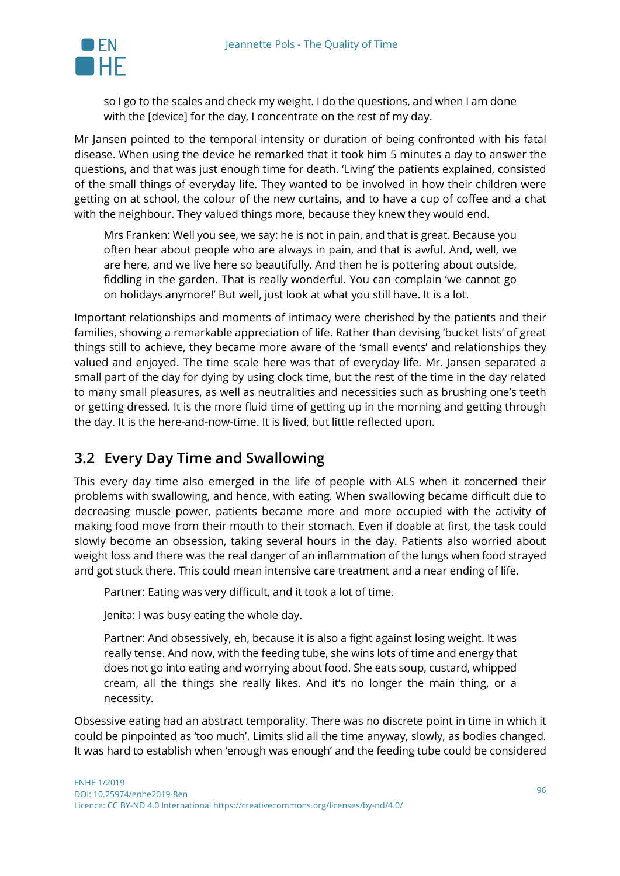

so I go to the scales and check my weight. I do the questions, and when I am done with the [device] for the day, I concentrate on the rest of my day.

Mr Jansen pointed to the temporal intensity or duration of being confronted with his fatal disease. When using the device he remarked that it took him 5 minutes a day to answer the questions, and that was just enough time for death. 'Living' the patients explained, consisted of the small things of everyday life. They wanted to be involved in how their children were getting on at school, the colour of the new curtains, and to have a cup of coffee and a chat with the neighbour. They valued things more, because they knew they would end.

Mrs Franken: Well you see, we say: he is not in pain, and that is great. Because you often hear about people who are always in pain, and that is awful. And, well, we are here, and we live here so beautifully. And then he is pottering about outside, fiddling in the garden. That is really wonderful. You can complain 'we cannot go on holidays anymore!' But well, just look at what you still have. It is a lot.

Important relationships and moments of intimacy were cherished by the patients and their families, showing a remarkable appreciation of life. Rather than devising 'bucket lists' of great things still to achieve, they became more aware of the 'small events' and relationships they valued and enjoyed. The time scale here was that of everyday life. Mr. Jansen separated a small part of the day for dying by using clock time, but the rest of the time in the day related to many small pleasures, as well as neutralities and necessities such as brushing one's teeth or getting dressed. It is the more fluid time of getting up in the morning and getting through the day. It is the here-and-now-time. It is lived, but little reflected upon.

#### **3.2 Every Day Time and Swallowing**

This every day time also emerged in the life of people with ALS when it concerned their problems with swallowing, and hence, with eating. When swallowing became difficult due to decreasing muscle power, patients became more and more occupied with the activity of making food move from their mouth to their stomach. Even if doable at first, the task could slowly become an obsession, taking several hours in the day. Patients also worried about weight loss and there was the real danger of an inflammation of the lungs when food strayed and got stuck there. This could mean intensive care treatment and a near ending of life.

Partner: Eating was very difficult, and it took a lot of time.

Jenita: I was busy eating the whole day.

Partner: And obsessively, eh, because it is also a fight against losing weight. It was really tense. And now, with the feeding tube, she wins lots of time and energy that does not go into eating and worrying about food. She eats soup, custard, whipped cream, all the things she really likes. And it's no longer the main thing, or a necessity.

Obsessive eating had an abstract temporality. There was no discrete point in time in which it could be pinpointed as 'too much'. Limits slid all the time anyway, slowly, as bodies changed. It was hard to establish when 'enough was enough' and the feeding tube could be considered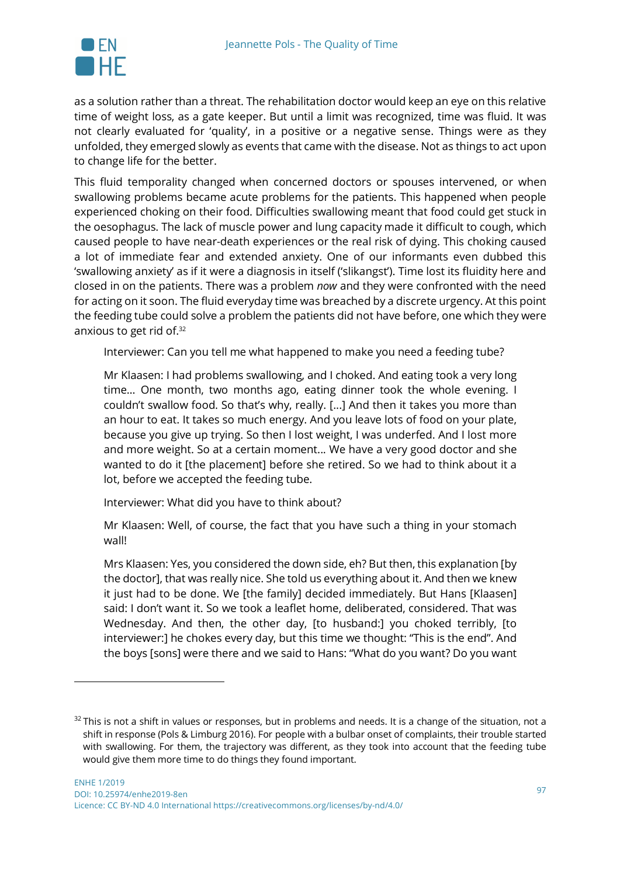

 $\overline{a}$ 

as a solution rather than a threat. The rehabilitation doctor would keep an eye on this relative time of weight loss, as a gate keeper. But until a limit was recognized, time was fluid. It was not clearly evaluated for 'quality', in a positive or a negative sense. Things were as they unfolded, they emerged slowly as events that came with the disease. Not as things to act upon to change life for the better.

This fluid temporality changed when concerned doctors or spouses intervened, or when swallowing problems became acute problems for the patients. This happened when people experienced choking on their food. Difficulties swallowing meant that food could get stuck in the oesophagus. The lack of muscle power and lung capacity made it difficult to cough, which caused people to have near-death experiences or the real risk of dying. This choking caused a lot of immediate fear and extended anxiety. One of our informants even dubbed this 'swallowing anxiety' as if it were a diagnosis in itself ('slikangst'). Time lost its fluidity here and closed in on the patients. There was a problem *now* and they were confronted with the need for acting on it soon. The fluid everyday time was breached by a discrete urgency. At this point the feeding tube could solve a problem the patients did not have before, one which they were anxious to get rid of.32

Interviewer: Can you tell me what happened to make you need a feeding tube?

Mr Klaasen: I had problems swallowing, and I choked. And eating took a very long time… One month, two months ago, eating dinner took the whole evening. I couldn't swallow food. So that's why, really. [...] And then it takes you more than an hour to eat. It takes so much energy. And you leave lots of food on your plate, because you give up trying. So then I lost weight, I was underfed. And I lost more and more weight. So at a certain moment... We have a very good doctor and she wanted to do it [the placement] before she retired. So we had to think about it a lot, before we accepted the feeding tube.

Interviewer: What did you have to think about?

Mr Klaasen: Well, of course, the fact that you have such a thing in your stomach wall!

Mrs Klaasen: Yes, you considered the down side, eh? But then, this explanation [by the doctor], that was really nice. She told us everything about it. And then we knew it just had to be done. We [the family] decided immediately. But Hans [Klaasen] said: I don't want it. So we took a leaflet home, deliberated, considered. That was Wednesday. And then, the other day, [to husband:] you choked terribly, [to interviewer:] he chokes every day, but this time we thought: "This is the end". And the boys [sons] were there and we said to Hans: "What do you want? Do you want

 $32$  This is not a shift in values or responses, but in problems and needs. It is a change of the situation, not a shift in response (Pols & Limburg 2016). For people with a bulbar onset of complaints, their trouble started with swallowing. For them, the trajectory was different, as they took into account that the feeding tube would give them more time to do things they found important.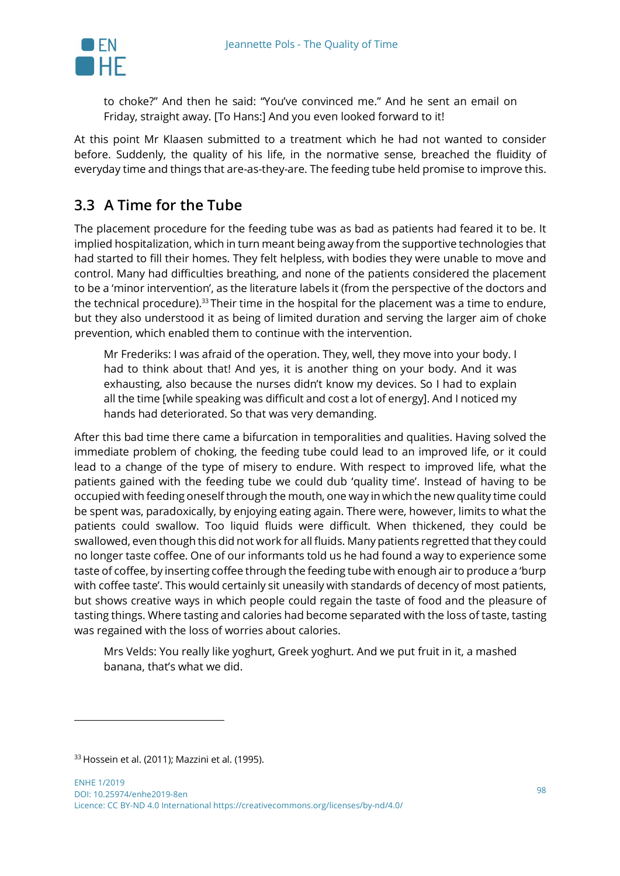

to choke?" And then he said: "You've convinced me." And he sent an email on Friday, straight away. [To Hans:] And you even looked forward to it!

At this point Mr Klaasen submitted to a treatment which he had not wanted to consider before. Suddenly, the quality of his life, in the normative sense, breached the fluidity of everyday time and things that are-as-they-are. The feeding tube held promise to improve this.

# **3.3 A Time for the Tube**

The placement procedure for the feeding tube was as bad as patients had feared it to be. It implied hospitalization, which in turn meant being away from the supportive technologies that had started to fill their homes. They felt helpless, with bodies they were unable to move and control. Many had difficulties breathing, and none of the patients considered the placement to be a 'minor intervention', as the literature labels it (from the perspective of the doctors and the technical procedure).<sup>33</sup> Their time in the hospital for the placement was a time to endure, but they also understood it as being of limited duration and serving the larger aim of choke prevention, which enabled them to continue with the intervention.

Mr Frederiks: I was afraid of the operation. They, well, they move into your body. I had to think about that! And yes, it is another thing on your body. And it was exhausting, also because the nurses didn't know my devices. So I had to explain all the time [while speaking was difficult and cost a lot of energy]. And I noticed my hands had deteriorated. So that was very demanding.

After this bad time there came a bifurcation in temporalities and qualities. Having solved the immediate problem of choking, the feeding tube could lead to an improved life, or it could lead to a change of the type of misery to endure. With respect to improved life, what the patients gained with the feeding tube we could dub 'quality time'. Instead of having to be occupied with feeding oneself through the mouth, one way in which the new quality time could be spent was, paradoxically, by enjoying eating again. There were, however, limits to what the patients could swallow. Too liquid fluids were difficult. When thickened, they could be swallowed, even though this did not work for all fluids. Many patients regretted that they could no longer taste coffee. One of our informants told us he had found a way to experience some taste of coffee, by inserting coffee through the feeding tube with enough air to produce a 'burp with coffee taste'. This would certainly sit uneasily with standards of decency of most patients, but shows creative ways in which people could regain the taste of food and the pleasure of tasting things. Where tasting and calories had become separated with the loss of taste, tasting was regained with the loss of worries about calories.

Mrs Velds: You really like yoghurt, Greek yoghurt. And we put fruit in it, a mashed banana, that's what we did.

l

 $33$  Hossein et al. (2011): Mazzini et al. (1995).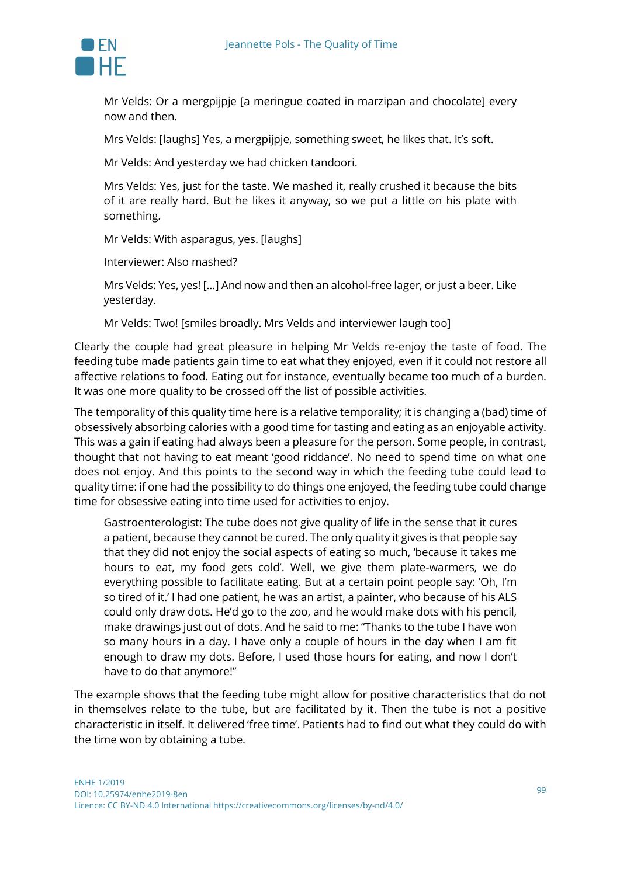

Mr Velds: Or a mergpijpje [a meringue coated in marzipan and chocolate] every now and then.

Mrs Velds: [laughs] Yes, a mergpijpje, something sweet, he likes that. It's soft.

Mr Velds: And yesterday we had chicken tandoori.

Mrs Velds: Yes, just for the taste. We mashed it, really crushed it because the bits of it are really hard. But he likes it anyway, so we put a little on his plate with something.

Mr Velds: With asparagus, yes. [laughs]

Interviewer: Also mashed?

Mrs Velds: Yes, yes! […] And now and then an alcohol-free lager, or just a beer. Like yesterday.

Mr Velds: Two! [smiles broadly. Mrs Velds and interviewer laugh too]

Clearly the couple had great pleasure in helping Mr Velds re-enjoy the taste of food. The feeding tube made patients gain time to eat what they enjoyed, even if it could not restore all affective relations to food. Eating out for instance, eventually became too much of a burden. It was one more quality to be crossed off the list of possible activities.

The temporality of this quality time here is a relative temporality; it is changing a (bad) time of obsessively absorbing calories with a good time for tasting and eating as an enjoyable activity. This was a gain if eating had always been a pleasure for the person. Some people, in contrast, thought that not having to eat meant 'good riddance'. No need to spend time on what one does not enjoy. And this points to the second way in which the feeding tube could lead to quality time: if one had the possibility to do things one enjoyed, the feeding tube could change time for obsessive eating into time used for activities to enjoy.

Gastroenterologist: The tube does not give quality of life in the sense that it cures a patient, because they cannot be cured. The only quality it gives is that people say that they did not enjoy the social aspects of eating so much, 'because it takes me hours to eat, my food gets cold'. Well, we give them plate-warmers, we do everything possible to facilitate eating. But at a certain point people say: 'Oh, I'm so tired of it.' I had one patient, he was an artist, a painter, who because of his ALS could only draw dots. He'd go to the zoo, and he would make dots with his pencil, make drawings just out of dots. And he said to me: "Thanks to the tube I have won so many hours in a day. I have only a couple of hours in the day when I am fit enough to draw my dots. Before, I used those hours for eating, and now I don't have to do that anymore!"

The example shows that the feeding tube might allow for positive characteristics that do not in themselves relate to the tube, but are facilitated by it. Then the tube is not a positive characteristic in itself. It delivered 'free time'. Patients had to find out what they could do with the time won by obtaining a tube.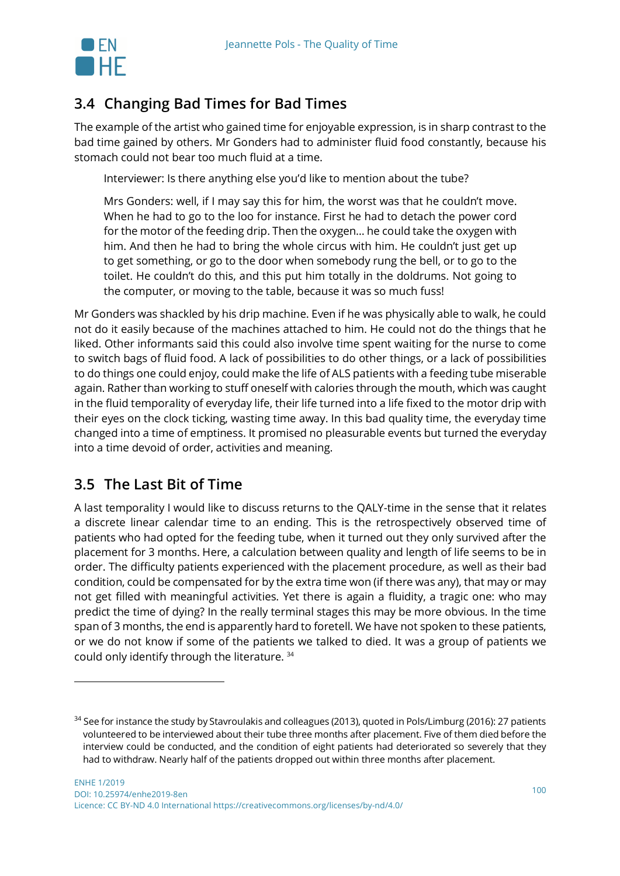

# **3.4 Changing Bad Times for Bad Times**

The example of the artist who gained time for enjoyable expression, is in sharp contrast to the bad time gained by others. Mr Gonders had to administer fluid food constantly, because his stomach could not bear too much fluid at a time.

Interviewer: Is there anything else you'd like to mention about the tube?

Mrs Gonders: well, if I may say this for him, the worst was that he couldn't move. When he had to go to the loo for instance. First he had to detach the power cord for the motor of the feeding drip. Then the oxygen… he could take the oxygen with him. And then he had to bring the whole circus with him. He couldn't just get up to get something, or go to the door when somebody rung the bell, or to go to the toilet. He couldn't do this, and this put him totally in the doldrums. Not going to the computer, or moving to the table, because it was so much fuss!

Mr Gonders was shackled by his drip machine. Even if he was physically able to walk, he could not do it easily because of the machines attached to him. He could not do the things that he liked. Other informants said this could also involve time spent waiting for the nurse to come to switch bags of fluid food. A lack of possibilities to do other things, or a lack of possibilities to do things one could enjoy, could make the life of ALS patients with a feeding tube miserable again. Rather than working to stuff oneself with calories through the mouth, which was caught in the fluid temporality of everyday life, their life turned into a life fixed to the motor drip with their eyes on the clock ticking, wasting time away. In this bad quality time, the everyday time changed into a time of emptiness. It promised no pleasurable events but turned the everyday into a time devoid of order, activities and meaning.

#### **3.5 The Last Bit of Time**

 $\overline{a}$ 

A last temporality I would like to discuss returns to the QALY-time in the sense that it relates a discrete linear calendar time to an ending. This is the retrospectively observed time of patients who had opted for the feeding tube, when it turned out they only survived after the placement for 3 months. Here, a calculation between quality and length of life seems to be in order. The difficulty patients experienced with the placement procedure, as well as their bad condition, could be compensated for by the extra time won (if there was any), that may or may not get filled with meaningful activities. Yet there is again a fluidity, a tragic one: who may predict the time of dying? In the really terminal stages this may be more obvious. In the time span of 3 months, the end is apparently hard to foretell. We have not spoken to these patients, or we do not know if some of the patients we talked to died. It was a group of patients we could only identify through the literature. 34

<sup>&</sup>lt;sup>34</sup> See for instance the study by Stavroulakis and colleagues (2013), quoted in Pols/Limburg (2016): 27 patients volunteered to be interviewed about their tube three months after placement. Five of them died before the interview could be conducted, and the condition of eight patients had deteriorated so severely that they had to withdraw. Nearly half of the patients dropped out within three months after placement.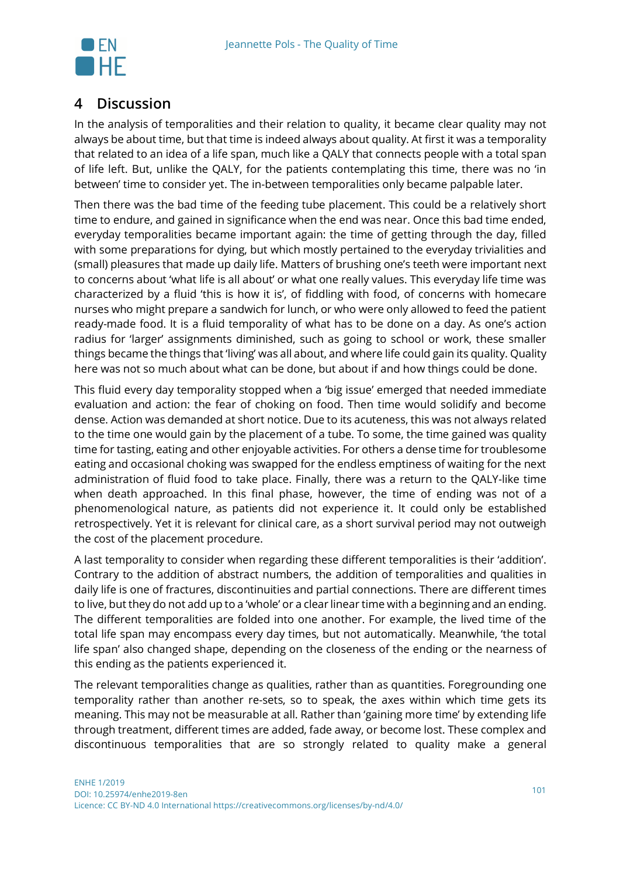

#### **4 Discussion**

In the analysis of temporalities and their relation to quality, it became clear quality may not always be about time, but that time is indeed always about quality. At first it was a temporality that related to an idea of a life span, much like a QALY that connects people with a total span of life left. But, unlike the QALY, for the patients contemplating this time, there was no 'in between' time to consider yet. The in-between temporalities only became palpable later.

Then there was the bad time of the feeding tube placement. This could be a relatively short time to endure, and gained in significance when the end was near. Once this bad time ended, everyday temporalities became important again: the time of getting through the day, filled with some preparations for dying, but which mostly pertained to the everyday trivialities and (small) pleasures that made up daily life. Matters of brushing one's teeth were important next to concerns about 'what life is all about' or what one really values. This everyday life time was characterized by a fluid 'this is how it is', of fiddling with food, of concerns with homecare nurses who might prepare a sandwich for lunch, or who were only allowed to feed the patient ready-made food. It is a fluid temporality of what has to be done on a day. As one's action radius for 'larger' assignments diminished, such as going to school or work, these smaller things became the things that 'living' was all about, and where life could gain its quality. Quality here was not so much about what can be done, but about if and how things could be done.

This fluid every day temporality stopped when a 'big issue' emerged that needed immediate evaluation and action: the fear of choking on food. Then time would solidify and become dense. Action was demanded at short notice. Due to its acuteness, this was not always related to the time one would gain by the placement of a tube. To some, the time gained was quality time for tasting, eating and other enjoyable activities. For others a dense time for troublesome eating and occasional choking was swapped for the endless emptiness of waiting for the next administration of fluid food to take place. Finally, there was a return to the QALY-like time when death approached. In this final phase, however, the time of ending was not of a phenomenological nature, as patients did not experience it. It could only be established retrospectively. Yet it is relevant for clinical care, as a short survival period may not outweigh the cost of the placement procedure.

A last temporality to consider when regarding these different temporalities is their 'addition'. Contrary to the addition of abstract numbers, the addition of temporalities and qualities in daily life is one of fractures, discontinuities and partial connections. There are different times to live, but they do not add up to a 'whole' or a clear linear time with a beginning and an ending. The different temporalities are folded into one another. For example, the lived time of the total life span may encompass every day times, but not automatically. Meanwhile, 'the total life span' also changed shape, depending on the closeness of the ending or the nearness of this ending as the patients experienced it.

The relevant temporalities change as qualities, rather than as quantities. Foregrounding one temporality rather than another re-sets, so to speak, the axes within which time gets its meaning. This may not be measurable at all. Rather than 'gaining more time' by extending life through treatment, different times are added, fade away, or become lost. These complex and discontinuous temporalities that are so strongly related to quality make a general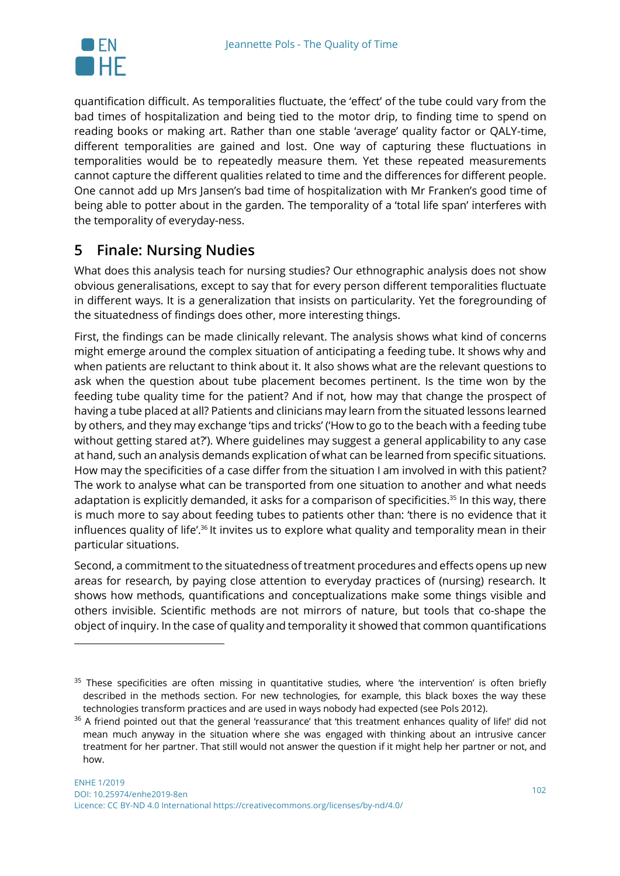

 $\overline{a}$ 

quantification difficult. As temporalities fluctuate, the 'effect' of the tube could vary from the bad times of hospitalization and being tied to the motor drip, to finding time to spend on reading books or making art. Rather than one stable 'average' quality factor or QALY-time, different temporalities are gained and lost. One way of capturing these fluctuations in temporalities would be to repeatedly measure them. Yet these repeated measurements cannot capture the different qualities related to time and the differences for different people. One cannot add up Mrs Jansen's bad time of hospitalization with Mr Franken's good time of being able to potter about in the garden. The temporality of a 'total life span' interferes with the temporality of everyday-ness.

### **5 Finale: Nursing Nudies**

What does this analysis teach for nursing studies? Our ethnographic analysis does not show obvious generalisations, except to say that for every person different temporalities fluctuate in different ways. It is a generalization that insists on particularity. Yet the foregrounding of the situatedness of findings does other, more interesting things.

First, the findings can be made clinically relevant. The analysis shows what kind of concerns might emerge around the complex situation of anticipating a feeding tube. It shows why and when patients are reluctant to think about it. It also shows what are the relevant questions to ask when the question about tube placement becomes pertinent. Is the time won by the feeding tube quality time for the patient? And if not, how may that change the prospect of having a tube placed at all? Patients and clinicians may learn from the situated lessons learned by others, and they may exchange 'tips and tricks' ('How to go to the beach with a feeding tube without getting stared at?'). Where guidelines may suggest a general applicability to any case at hand, such an analysis demands explication of what can be learned from specific situations. How may the specificities of a case differ from the situation I am involved in with this patient? The work to analyse what can be transported from one situation to another and what needs adaptation is explicitly demanded, it asks for a comparison of specificities.<sup>35</sup> In this way, there is much more to say about feeding tubes to patients other than: 'there is no evidence that it influences quality of life'.<sup>36</sup> It invites us to explore what quality and temporality mean in their particular situations.

Second, a commitment to the situatedness of treatment procedures and effects opens up new areas for research, by paying close attention to everyday practices of (nursing) research. It shows how methods, quantifications and conceptualizations make some things visible and others invisible. Scientific methods are not mirrors of nature, but tools that co-shape the object of inquiry. In the case of quality and temporality it showed that common quantifications

<sup>&</sup>lt;sup>35</sup> These specificities are often missing in quantitative studies, where 'the intervention' is often briefly described in the methods section. For new technologies, for example, this black boxes the way these technologies transform practices and are used in ways nobody had expected (see Pols 2012).

<sup>&</sup>lt;sup>36</sup> A friend pointed out that the general 'reassurance' that 'this treatment enhances quality of life!' did not mean much anyway in the situation where she was engaged with thinking about an intrusive cancer treatment for her partner. That still would not answer the question if it might help her partner or not, and how.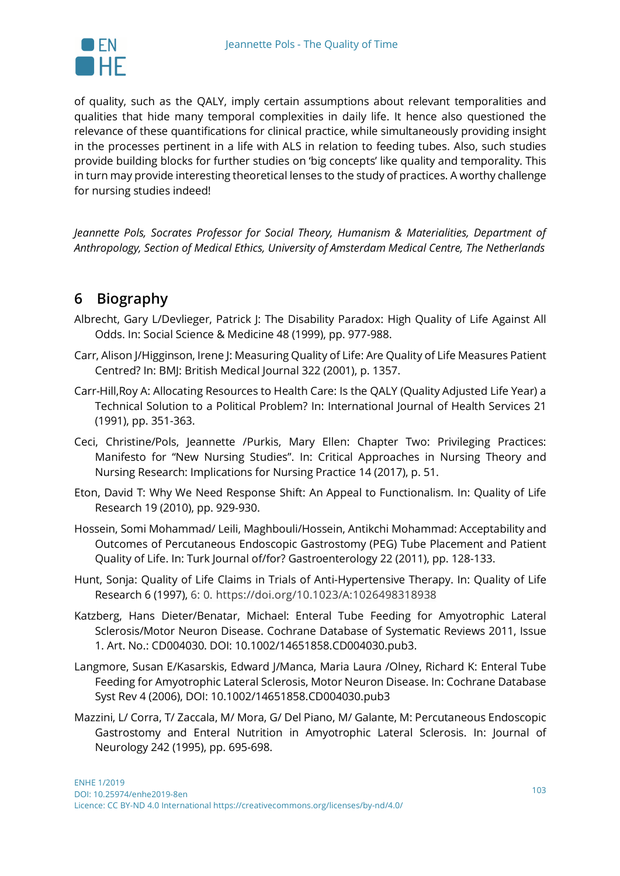

of quality, such as the QALY, imply certain assumptions about relevant temporalities and qualities that hide many temporal complexities in daily life. It hence also questioned the relevance of these quantifications for clinical practice, while simultaneously providing insight in the processes pertinent in a life with ALS in relation to feeding tubes. Also, such studies provide building blocks for further studies on 'big concepts' like quality and temporality. This in turn may provide interesting theoretical lenses to the study of practices. A worthy challenge for nursing studies indeed!

*Jeannette Pols, Socrates Professor for Social Theory, Humanism & Materialities, Department of Anthropology, Section of Medical Ethics, University of Amsterdam Medical Centre, The Netherlands*

# **6 Biography**

- Albrecht, Gary L/Devlieger, Patrick J: The Disability Paradox: High Quality of Life Against All Odds. In: Social Science & Medicine 48 (1999), pp. 977-988.
- Carr, Alison J/Higginson, Irene J: Measuring Quality of Life: Are Quality of Life Measures Patient Centred? In: BMJ: British Medical Journal 322 (2001), p. 1357.
- Carr-Hill,Roy A: Allocating Resources to Health Care: Is the QALY (Quality Adjusted Life Year) a Technical Solution to a Political Problem? In: International Journal of Health Services 21 (1991), pp. 351-363.
- Ceci, Christine/Pols, Jeannette /Purkis, Mary Ellen: Chapter Two: Privileging Practices: Manifesto for "New Nursing Studies". In: Critical Approaches in Nursing Theory and Nursing Research: Implications for Nursing Practice 14 (2017), p. 51.
- Eton, David T: Why We Need Response Shift: An Appeal to Functionalism. In: Quality of Life Research 19 (2010), pp. 929-930.
- Hossein, Somi Mohammad/ Leili, Maghbouli/Hossein, Antikchi Mohammad: Acceptability and Outcomes of Percutaneous Endoscopic Gastrostomy (PEG) Tube Placement and Patient Quality of Life. In: Turk Journal of/for? Gastroenterology 22 (2011), pp. 128-133.
- Hunt, Sonja: Quality of Life Claims in Trials of Anti-Hypertensive Therapy. In: Quality of Life Research 6 (1997), 6: 0. https://doi.org/10.1023/A:1026498318938
- Katzberg, Hans Dieter/Benatar, Michael: Enteral Tube Feeding for Amyotrophic Lateral Sclerosis/Motor Neuron Disease. Cochrane Database of Systematic Reviews 2011, Issue 1. Art. No.: CD004030. DOI: 10.1002/14651858.CD004030.pub3.
- Langmore, Susan E/Kasarskis, Edward J/Manca, Maria Laura /Olney, Richard K: Enteral Tube Feeding for Amyotrophic Lateral Sclerosis, Motor Neuron Disease. In: Cochrane Database Syst Rev 4 (2006), DOI: 10.1002/14651858.CD004030.pub3
- Mazzini, L/ Corra, T/ Zaccala, M/ Mora, G/ Del Piano, M/ Galante, M: Percutaneous Endoscopic Gastrostomy and Enteral Nutrition in Amyotrophic Lateral Sclerosis. In: Journal of Neurology 242 (1995), pp. 695-698.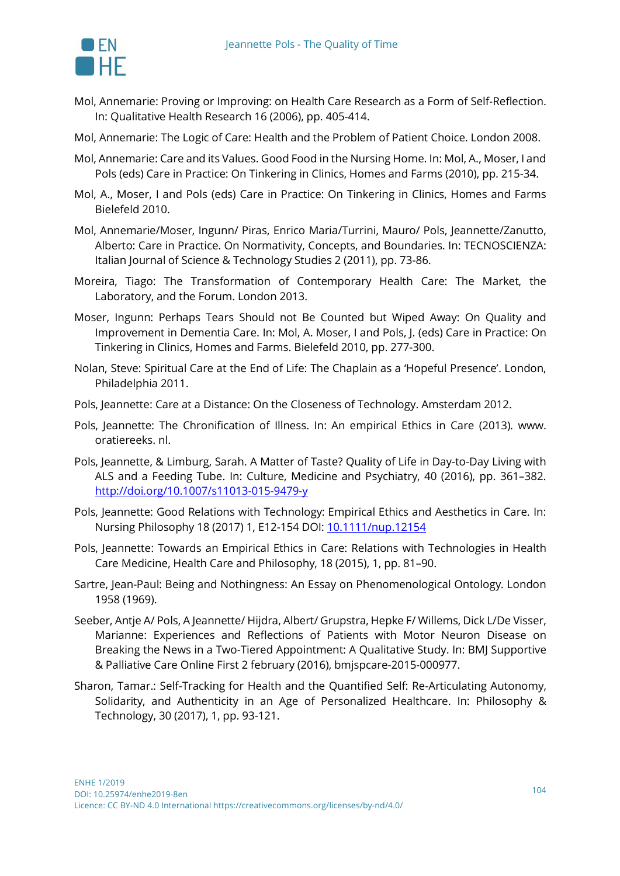

- Mol, Annemarie: Proving or Improving: on Health Care Research as a Form of Self-Reflection. In: Qualitative Health Research 16 (2006), pp. 405-414.
- Mol, Annemarie: The Logic of Care: Health and the Problem of Patient Choice. London 2008.
- Mol, Annemarie: Care and its Values. Good Food in the Nursing Home. In: Mol, A., Moser, I and Pols (eds) Care in Practice: On Tinkering in Clinics, Homes and Farms (2010), pp. 215-34.
- Mol, A., Moser, I and Pols (eds) Care in Practice: On Tinkering in Clinics, Homes and Farms Bielefeld 2010.
- Mol, Annemarie/Moser, Ingunn/ Piras, Enrico Maria/Turrini, Mauro/ Pols, Jeannette/Zanutto, Alberto: Care in Practice. On Normativity, Concepts, and Boundaries. In: TECNOSCIENZA: Italian Journal of Science & Technology Studies 2 (2011), pp. 73-86.
- Moreira, Tiago: The Transformation of Contemporary Health Care: The Market, the Laboratory, and the Forum. London 2013.
- Moser, Ingunn: Perhaps Tears Should not Be Counted but Wiped Away: On Quality and Improvement in Dementia Care. In: Mol, A. Moser, I and Pols, J. (eds) Care in Practice: On Tinkering in Clinics, Homes and Farms. Bielefeld 2010, pp. 277-300.
- Nolan, Steve: Spiritual Care at the End of Life: The Chaplain as a 'Hopeful Presence'. London, Philadelphia 2011.
- Pols, Jeannette: Care at a Distance: On the Closeness of Technology. Amsterdam 2012.
- Pols, Jeannette: The Chronification of Illness. In: An empirical Ethics in Care (2013). www. oratiereeks. nl.
- Pols, Jeannette, & Limburg, Sarah. A Matter of Taste? Quality of Life in Day-to-Day Living with ALS and a Feeding Tube. In: Culture, Medicine and Psychiatry, 40 (2016), pp. 361–382. http://doi.org/10.1007/s11013-015-9479-y
- Pols, Jeannette: Good Relations with Technology: Empirical Ethics and Aesthetics in Care. In: Nursing Philosophy 18 (2017) 1, E12-154 DOI: 10.1111/nup.12154
- Pols, Jeannette: Towards an Empirical Ethics in Care: Relations with Technologies in Health Care Medicine, Health Care and Philosophy, 18 (2015), 1, pp. 81–90.
- Sartre, Jean-Paul: Being and Nothingness: An Essay on Phenomenological Ontology. London 1958 (1969).
- Seeber, Antje A/ Pols, A Jeannette/ Hijdra, Albert/ Grupstra, Hepke F/ Willems, Dick L/De Visser, Marianne: Experiences and Reflections of Patients with Motor Neuron Disease on Breaking the News in a Two-Tiered Appointment: A Qualitative Study. In: BMJ Supportive & Palliative Care Online First 2 february (2016), bmjspcare-2015-000977.
- Sharon, Tamar.: Self-Tracking for Health and the Quantified Self: Re-Articulating Autonomy, Solidarity, and Authenticity in an Age of Personalized Healthcare. In: Philosophy & Technology, 30 (2017), 1, pp. 93-121.